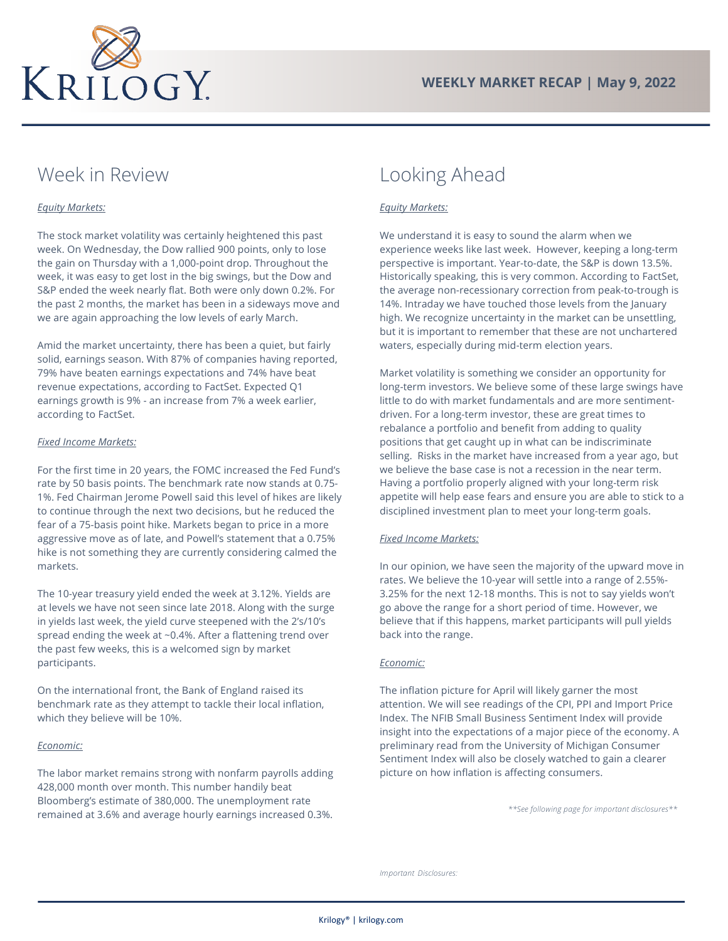

# Week in Review

## *Equity Markets:*

The stock market volatility was certainly heightened this past week. On Wednesday, the Dow rallied 900 points, only to lose the gain on Thursday with a 1,000-point drop. Throughout the week, it was easy to get lost in the big swings, but the Dow and S&P ended the week nearly flat. Both were only down 0.2%. For the past 2 months, the market has been in a sideways move and we are again approaching the low levels of early March.

Amid the market uncertainty, there has been a quiet, but fairly solid, earnings season. With 87% of companies having reported, 79% have beaten earnings expectations and 74% have beat revenue expectations, according to FactSet. Expected Q1 earnings growth is 9% - an increase from 7% a week earlier, according to FactSet.

#### *Fixed Income Markets:*

For the first time in 20 years, the FOMC increased the Fed Fund's rate by 50 basis points. The benchmark rate now stands at 0.75- 1%. Fed Chairman Jerome Powell said this level of hikes are likely to continue through the next two decisions, but he reduced the fear of a 75-basis point hike. Markets began to price in a more aggressive move as of late, and Powell's statement that a 0.75% hike is not something they are currently considering calmed the markets.

The 10-year treasury yield ended the week at 3.12%. Yields are at levels we have not seen since late 2018. Along with the surge in yields last week, the yield curve steepened with the 2's/10's spread ending the week at ~0.4%. After a flattening trend over the past few weeks, this is a welcomed sign by market participants.

On the international front, the Bank of England raised its benchmark rate as they attempt to tackle their local inflation, which they believe will be 10%.

### *Economic:*

The labor market remains strong with nonfarm payrolls adding 428,000 month over month. This number handily beat Bloomberg's estimate of 380,000. The unemployment rate remained at 3.6% and average hourly earnings increased 0.3%.

## Looking Ahead

### *Equity Markets:*

We understand it is easy to sound the alarm when we experience weeks like last week. However, keeping a long-term perspective is important. Year-to-date, the S&P is down 13.5%. Historically speaking, this is very common. According to FactSet, the average non-recessionary correction from peak-to-trough is 14%. Intraday we have touched those levels from the January high. We recognize uncertainty in the market can be unsettling, but it is important to remember that these are not unchartered waters, especially during mid-term election years.

Market volatility is something we consider an opportunity for long-term investors. We believe some of these large swings have little to do with market fundamentals and are more sentimentdriven. For a long-term investor, these are great times to rebalance a portfolio and benefit from adding to quality positions that get caught up in what can be indiscriminate selling. Risks in the market have increased from a year ago, but we believe the base case is not a recession in the near term. Having a portfolio properly aligned with your long-term risk appetite will help ease fears and ensure you are able to stick to a disciplined investment plan to meet your long-term goals.

### *Fixed Income Markets:*

In our opinion, we have seen the majority of the upward move in rates. We believe the 10-year will settle into a range of 2.55%- 3.25% for the next 12-18 months. This is not to say yields won't go above the range for a short period of time. However, we believe that if this happens, market participants will pull yields back into the range.

### *Economic:*

The inflation picture for April will likely garner the most attention. We will see readings of the CPI, PPI and Import Price Index. The NFIB Small Business Sentiment Index will provide insight into the expectations of a major piece of the economy. A preliminary read from the University of Michigan Consumer Sentiment Index will also be closely watched to gain a clearer picture on how inflation is affecting consumers.

*\*\*See following page for important disclosures\*\**

*Important Disclosures:*